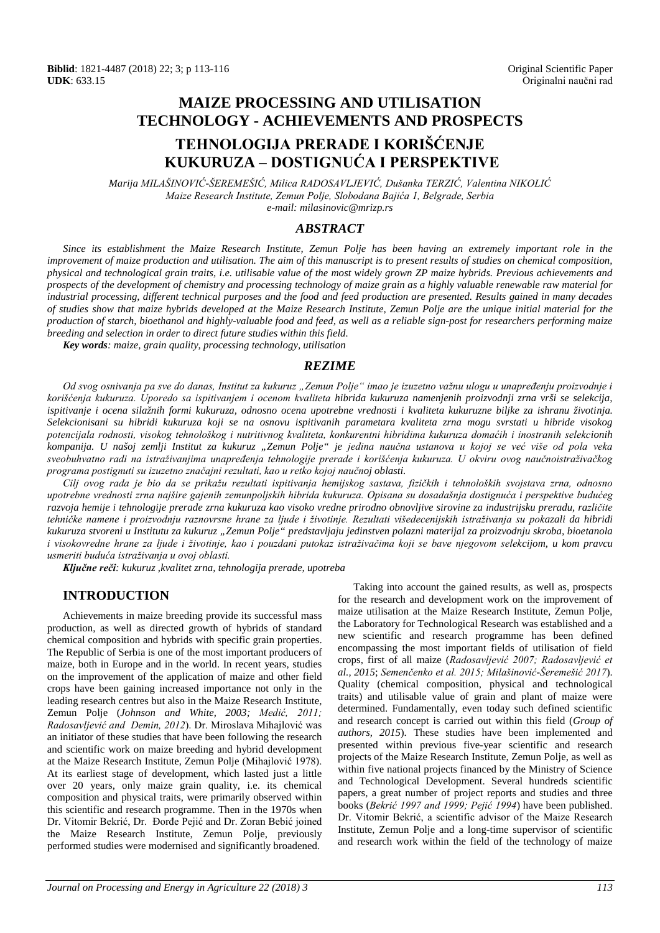## **MAIZE PROCESSING AND UTILISATION TECHNOLOGY - ACHIEVEMENTS AND PROSPECTS**

# **TEHNOLOGIJA PRERADE I KORIŠĆENJE KUKURUZA – DOSTIGNUĆA I PERSPEKTIVE**

*Marija MILAŠINOVIĆ-ŠEREMEŠIĆ, Milica RADOSAVLJEVIĆ, Dušanka TERZIĆ, Valentina NIKOLIĆ Maize Research Institute, Zemun Polje, Slobodana Bajića 1, Belgrade, Serbia e-mail[: milasinovic@mrizp.rs](mailto:milasinovic@mrizp.rs)*

#### *ABSTRACT*

*Since its establishment the Maize Research Institute, Zemun Polje has been having an extremely important role in the improvement of maize production and utilisation. The aim of this manuscript is to present results of studies on chemical composition, physical and technological grain traits, i.e. utilisable value of the most widely grown ZP maize hybrids. Previous achievements and prospects of the development of chemistry and processing technology of maize grain as a highly valuable renewable raw material for industrial processing, different technical purposes and the food and feed production are presented. Results gained in many decades of studies show that maize hybrids developed at the Maize Research Institute, Zemun Polje are the unique initial material for the production of starch, bioethanol and highly-valuable food and feed, as well as a reliable sign-post for researchers performing maize breeding and selection in order to direct future studies within this field.* 

*Key words: maize, grain quality, processing technology, utilisation* 

#### *REZIME*

*Od svog osnivanja pa sve do danas, Institut za kukuruz "Zemun Polje" imao je izuzetno važnu ulogu u unapređenju proizvodnje i korišćenja kukuruza. Uporedo sa ispitivanjem i ocenom kvaliteta hibrida kukuruza namenjenih proizvodnji zrna vrši se selekcija, ispitivanje i ocena silažnih formi kukuruza, odnosno ocena upotrebne vrednosti i kvaliteta kukuruzne biljke za ishranu životinja. Selekcionisani su hibridi kukuruza koji se na osnovu ispitivanih parametara kvaliteta zrna mogu svrstati u hibride visokog potencijala rodnosti, visokog tehnološkog i nutritivnog kvaliteta, konkurentni hibridima kukuruza domaćih i inostranih selekcionih kompanija. U našoj zemlji Institut za kukuruz "Zemun Polje" je jedina naučna ustanova u kojoj se već više od pola veka sveobuhvatno radi na istraživanjima unapređenja tehnologije prerade i korišćenja kukuruza. U okviru ovog naučnoistraživačkog programa postignuti su izuzetno značajni rezultati, kao u retko kojoj naučnoj oblasti.* 

*Cilj ovog rada je bio da se prikažu rezultati ispitivanja hemijskog sastava, fizičkih i tehnoloških svojstava zrna, odnosno upotrebne vrednosti zrna najšire gajenih zemunpoljskih hibrida kukuruza. Opisana su dosadašnja dostignuća i perspektive budućeg razvoja hemije i tehnologije prerade zrna kukuruza kao visoko vredne prirodno obnovljive sirovine za industrijsku preradu, različite tehničke namene i proizvodnju raznovrsne hrane za ljude i životinje. Rezultati višedecenijskih istraživanja su pokazali da hibridi kukuruza stvoreni u Institutu za kukuruz "Zemun Polje" predstavljaju jedinstven polazni materijal za proizvodnju skroba, bioetanola i visokovredne hrane za ljude i životinje, kao i pouzdani putokaz istraživačima koji se bave njegovom selekcijom, u kom pravcu usmeriti buduća istraživanja u ovoj oblasti.*

*Ključne reči: kukuruz ,kvalitet zrna, tehnologija prerade, upotreba*

#### **INTRODUCTION**

Achievements in maize breeding provide its successful mass production, as well as directed growth of hybrids of standard chemical composition and hybrids with specific grain properties. The Republic of Serbia is one of the most important producers of maize, both in Europe and in the world. In recent years, studies on the improvement of the application of maize and other field crops have been gaining increased importance not only in the leading research centres but also in the Maize Research Institute, Zemun Polje (*Johnson and White, 2003; Medić, 2011; Radosavljević and Demin, 2012*). Dr. Miroslava Mihajlović was an initiator of these studies that have been following the research and scientific work on maize breeding and hybrid development at the Maize Research Institute, Zemun Polje (Mihajlović 1978). At its earliest stage of development, which lasted just a little over 20 years, only maize grain quality, i.e. its chemical composition and physical traits, were primarily observed within this scientific and research programme. Then in the 1970s when Dr. Vitomir Bekrić, Dr. Đorđe Pejić and Dr. Zoran Bebić joined the Maize Research Institute, Zemun Polje, previously performed studies were modernised and significantly broadened.

Taking into account the gained results, as well as, prospects for the research and development work on the improvement of maize utilisation at the Maize Research Institute, Zemun Polje, the Laboratory for Technological Research was established and a new scientific and research programme has been defined encompassing the most important fields of utilisation of field crops, first of all maize (*Radosavljević 2007; Radosavljević et al., 2015*; *Semenčenko et al. 2015; Milašinović-Šeremešić 2017*). Quality (chemical composition, physical and technological traits) and utilisable value of grain and plant of maize were determined. Fundamentally, even today such defined scientific and research concept is carried out within this field (*Group of authors, 2015*). These studies have been implemented and presented within previous five-year scientific and research projects of the Maize Research Institute, Zemun Polje, as well as within five national projects financed by the Ministry of Science and Technological Development. Several hundreds scientific papers, a great number of project reports and studies and three books (*Bekrić 1997 and 1999; Pejić 1994*) have been published. Dr. Vitomir Bekrić, a scientific advisor of the Maize Research Institute, Zemun Polje and a long-time supervisor of scientific and research work within the field of the technology of maize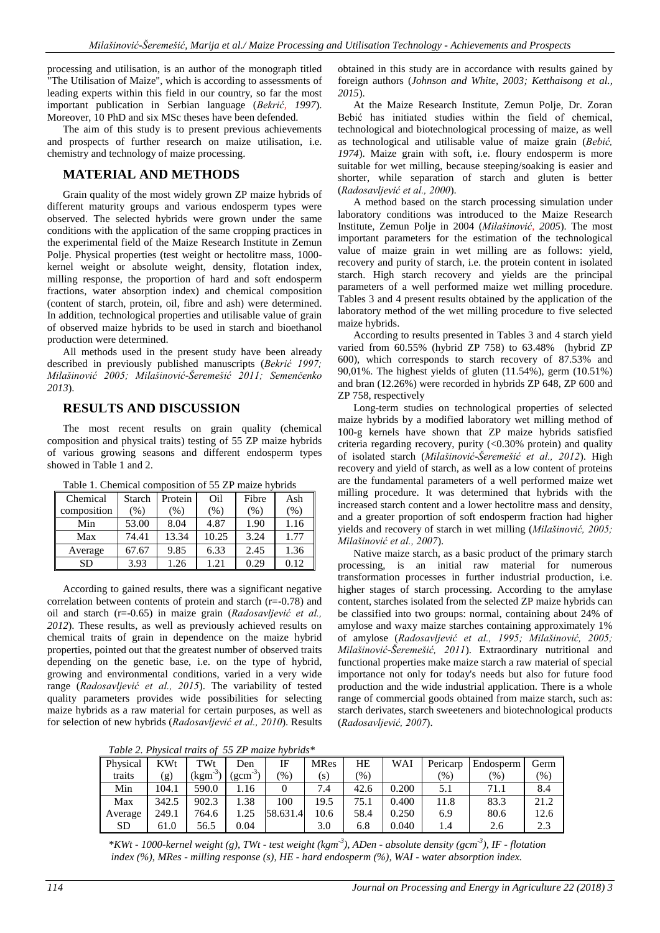processing and utilisation, is an author of the monograph titled "The Utilisation of Maize", which is according to assessments of leading experts within this field in our country, so far the most important publication in Serbian language (*Bekrić, 1997*). Moreover, 10 PhD and six MSc theses have been defended.

The aim of this study is to present previous achievements and prospects of further research on maize utilisation, i.e. chemistry and technology of maize processing.

### **MATERIAL AND METHODS**

Grain quality of the most widely grown ZP maize hybrids of different maturity groups and various endosperm types were observed. The selected hybrids were grown under the same conditions with the application of the same cropping practices in the experimental field of the Maize Research Institute in Zemun Polje. Physical properties (test weight or hectolitre mass, 1000 kernel weight or absolute weight, density, flotation index, milling response, the proportion of hard and soft endosperm fractions, water absorption index) and chemical composition (content of starch, protein, oil, fibre and ash) were determined. In addition, technological properties and utilisable value of grain of observed maize hybrids to be used in starch and bioethanol production were determined.

All methods used in the present study have been already described in previously published manuscripts (*Bekrić 1997; Milašinović 2005; Milašinović-Šeremešić 2011; Semenčenko 2013*).

### **RESULTS AND DISCUSSION**

The most recent results on grain quality (chemical composition and physical traits) testing of 55 ZP maize hybrids of various growing seasons and different endosperm types showed in Table 1 and 2.

| Table 1. Chemical composition of 33 Zil malle hybrids |        |         |       |       |        |
|-------------------------------------------------------|--------|---------|-------|-------|--------|
| Chemical                                              | Starch | Protein | Oil   | Fibre | Ash    |
| composition                                           | $(\%)$ | $(\%)$  | (%)   | (%)   | $(\%)$ |
| Min                                                   | 53.00  | 8.04    | 4.87  | 1.90  | 1.16   |
| Max                                                   | 74.41  | 13.34   | 10.25 | 3.24  | 1.77   |
| Average                                               | 67.67  | 9.85    | 6.33  | 2.45  | 1.36   |
| SD                                                    | 3.93   | 1.26    | 1.21  | 0.29  | 0.12   |

Table 1. Chemical composition of 55 ZP maize hybrids

According to gained results, there was a significant negative correlation between contents of protein and starch (r=-0.78) and oil and starch (r=-0.65) in maize grain (*Radosavljević et al., 2012*). These results, as well as previously achieved results on chemical traits of grain in dependence on the maize hybrid properties, pointed out that the greatest number of observed traits depending on the genetic base, i.e. on the type of hybrid, growing and environmental conditions, varied in a very wide range (*Radosavljević et al., 2015*). The variability of tested quality parameters provides wide possibilities for selecting maize hybrids as a raw material for certain purposes, as well as for selection of new hybrids (*Radosavljević et al., 2010*). Results

*Table 2. Physical traits of 55 ZP maize hybrids\**

| Physical  | <b>KWt</b> | TWt       | <b>Den</b>          | IF                                      | MRes | HE              | WAI   | Pericarp                | Endosperm | Germ |
|-----------|------------|-----------|---------------------|-----------------------------------------|------|-----------------|-------|-------------------------|-----------|------|
| traits    | $\rm(g)$   | $(kgm-3)$ | $\mathrm{gcm}^{-3}$ | $\gamma$ <sup><math>\gamma</math></sup> | (s)  | $\frac{9}{6}$ ) |       | $\gamma$ <sub>0</sub> ) | $(\%)$    | (96) |
| Min       | '04.1      | 590.0     | .16                 |                                         | 7.4  | 42.6            | 0.200 | 5.1                     | 71.1      | 8.4  |
| Max       | 342.5      | 902.3     | .38                 | 100                                     | 19.5 | 75.1            | 0.400 | 11.8                    | 83.3      | 21.2 |
| Average   | 249.1      | 764.6     | .25                 | 58.631.4                                | 10.6 | 58.4            | 0.250 | 6.9                     | 80.6      | 12.6 |
| <b>SD</b> | 61.0       | 56.5      | 0.04                |                                         | 3.0  | 6.8             | 0.040 | 1.4                     | 2.6       | 2.3  |

*\*KWt - 1000-kernel weight (g), TWt - test weight (kgm-3 ), ADen - absolute density (gcm-3 ), IF - flotation index (%), MRes - milling response (s), HE - hard endosperm (%), WAI - water absorption index.* 

obtained in this study are in accordance with results gained by foreign authors (*Johnson and White, 2003; Ketthaisong et al., 2015*).

At the Maize Research Institute, Zemun Polje, Dr. Zoran Bebić has initiated studies within the field of chemical, technological and biotechnological processing of maize, as well as technological and utilisable value of maize grain (*Bebić, 1974*). Maize grain with soft, i.e. floury endosperm is more suitable for wet milling, because steeping/soaking is easier and shorter, while separation of starch and gluten is better (*Radosavljević et al., 2000*).

A method based on the starch processing simulation under laboratory conditions was introduced to the Maize Research Institute, Zemun Polje in 2004 (*Milašinović, 2005*). The most important parameters for the estimation of the technological value of maize grain in wet milling are as follows: yield, recovery and purity of starch, i.e. the protein content in isolated starch. High starch recovery and yields are the principal parameters of a well performed maize wet milling procedure. Tables 3 and 4 present results obtained by the application of the laboratory method of the wet milling procedure to five selected maize hybrids.

According to results presented in Tables 3 and 4 starch yield varied from 60.55% (hybrid ZP 758) to 63.48% (hybrid ZP 600), which corresponds to starch recovery of 87.53% and 90,01%. The highest yields of gluten (11.54%), germ (10.51%) and bran (12.26%) were recorded in hybrids ZP 648, ZP 600 and ZP 758, respectively

Long-term studies on technological properties of selected maize hybrids by a modified laboratory wet milling method of 100-g kernels have shown that ZP maize hybrids satisfied criteria regarding recovery, purity  $\langle \langle 0.30 \rangle$  protein) and quality of isolated starch (*Milašinović-Šeremešić et al., 2012*). High recovery and yield of starch, as well as a low content of proteins are the fundamental parameters of a well performed maize wet milling procedure. It was determined that hybrids with the increased starch content and a lower hectolitre mass and density, and a greater proportion of soft endosperm fraction had higher yields and recovery of starch in wet milling (*Milašinović, 2005; Milašinović et al., 2007*).

Native maize starch, as a basic product of the primary starch processing, is an initial raw material for numerous transformation processes in further industrial production, i.e. higher stages of starch processing. According to the amylase content, starches isolated from the selected ZP maize hybrids can be classified into two groups: normal, containing about 24% of amylose and waxy maize starches containing approximately 1% of amylose (*Radosavljević et al., 1995; Milašinović, 2005; Milašinović-Šeremešić, 2011*). Extraordinary nutritional and functional properties make maize starch a raw material of special importance not only for today's needs but also for future food production and the wide industrial application. There is a whole range of commercial goods obtained from maize starch, such as: starch derivates, starch sweeteners and biotechnological products (*Radosavljević, 2007*).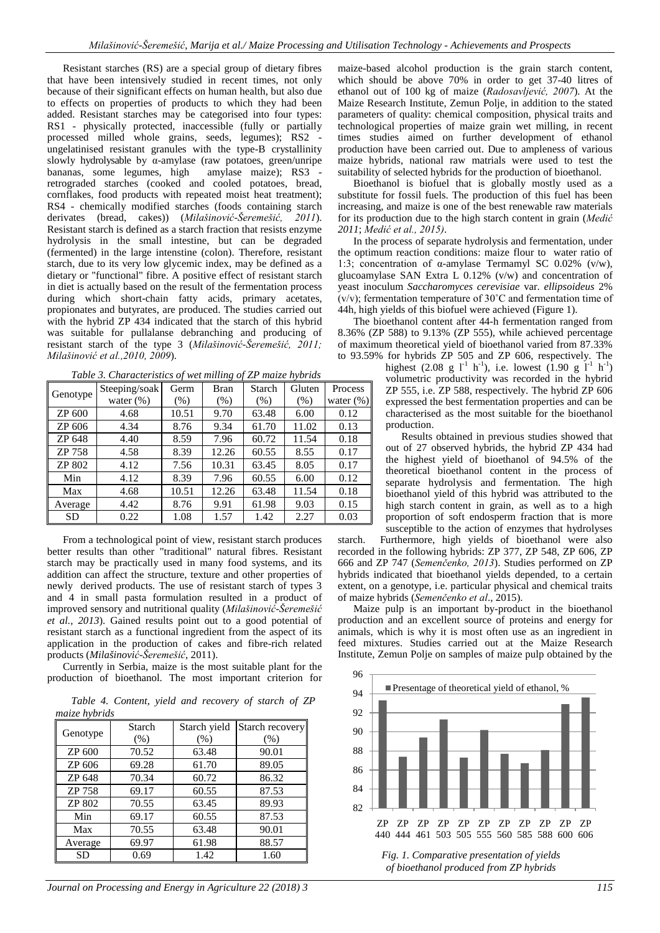Resistant starches (RS) are a special group of dietary fibres that have been intensively studied in recent times, not only because of their significant effects on human health, but also due to effects on properties of products to which they had been added. Resistant starches may be categorised into four types: RS1 - physically protected, inaccessible (fully or partially processed milled whole grains, seeds, legumes); RS2 ungelatinised resistant granules with the type-B crystallinity slowly hydrolysable by  $\alpha$ -amylase (raw potatoes, green/unripe bananas, some legumes, high amylase maize); RS3 bananas, some legumes, high retrograded starches (cooked and cooled potatoes, bread, cornflakes, food products with repeated moist heat treatment); RS4 - chemically modified starches (foods containing starch derivates (bread, cakes)) (*Milašinović-Šeremešić, 2011*). Resistant starch is defined as a starch fraction that resists enzyme hydrolysis in the small intestine, but can be degraded (fermented) in the large intenstine (colon). Therefore, resistant starch, due to its very low glycemic index, may be defined as a dietary or "functional" fibre. A positive effect of resistant starch in diet is actually based on the result of the fermentation process during which short-chain fatty acids, primary acetates, propionates and butyrates, are produced. The studies carried out with the hybrid ZP 434 indicated that the starch of this hybrid was suitable for pullalanse debranching and producing of resistant starch of the type 3 (*Milašinović-Šeremešić, 2011; Milašinović et al.,2010, 2009*).

| Genotype  | Steeping/soak | Germ    | <b>Bran</b> | Starch | Gluten | Process      |
|-----------|---------------|---------|-------------|--------|--------|--------------|
|           | water $(\%)$  | $(\% )$ | (% )        | (% )   | (% )   | water $(\%)$ |
| ZP 600    | 4.68          | 10.51   | 9.70        | 63.48  | 6.00   | 0.12         |
| ZP 606    | 4.34          | 8.76    | 9.34        | 61.70  | 11.02  | 0.13         |
| ZP 648    | 4.40          | 8.59    | 7.96        | 60.72  | 11.54  | 0.18         |
| ZP 758    | 4.58          | 8.39    | 12.26       | 60.55  | 8.55   | 0.17         |
| ZP 802    | 4.12          | 7.56    | 10.31       | 63.45  | 8.05   | 0.17         |
| Min       | 4.12          | 8.39    | 7.96        | 60.55  | 6.00   | 0.12         |
| Max       | 4.68          | 10.51   | 12.26       | 63.48  | 11.54  | 0.18         |
| Average   | 4.42          | 8.76    | 9.91        | 61.98  | 9.03   | 0.15         |
| <b>SD</b> | 0.22          | 1.08    | 1.57        | 1.42   | 2.27   | 0.03         |

*Table 3. Characteristics of wet milling of ZP maize hybrids*

From a technological point of view, resistant starch produces better results than other "traditional" natural fibres. Resistant starch may be practically used in many food systems, and its addition can affect the structure, texture and other properties of newly derived products. The use of resistant starch of types 3 and 4 in small pasta formulation resulted in a product of improved sensory and nutritional quality (*Milašinović-Šeremešić et al., 2013*). Gained results point out to a good potential of resistant starch as a functional ingredient from the aspect of its application in the production of cakes and fibre-rich related products (*Milašinović-Šeremešić*, 2011).

Currently in Serbia, maize is the most suitable plant for the production of bioethanol. The most important criterion for

*Table 4. Content, yield and recovery of starch of ZP maize hybrids*

| Genotype | Starch<br>(% ) | Starch yield<br>(% ) | Starch recovery<br>(% ) |
|----------|----------------|----------------------|-------------------------|
| ZP 600   | 70.52          | 63.48                | 90.01                   |
| ZP 606   | 69.28          | 61.70                | 89.05                   |
| ZP 648   | 70.34          | 60.72                | 86.32                   |
| ZP 758   | 69.17          | 60.55                | 87.53                   |
| ZP 802   | 70.55          | 63.45                | 89.93                   |
| Min      | 69.17          | 60.55                | 87.53                   |
| Max      | 70.55          | 63.48                | 90.01                   |
| Average  | 69.97          | 61.98                | 88.57                   |
| SD       | 0.69           | 1.42                 | 1.60                    |

*Journal on Processing and Energy in Agriculture 22 (2018) 3 115*

maize-based alcohol production is the grain starch content, which should be above 70% in order to get 37-40 litres of ethanol out of 100 kg of maize (*Radosavljević, 2007*). At the Maize Research Institute, Zemun Polje, in addition to the stated parameters of quality: chemical composition, physical traits and technological properties of maize grain wet milling, in recent times studies aimed on further development of ethanol production have been carried out. Due to ampleness of various maize hybrids, national raw matrials were used to test the suitability of selected hybrids for the production of bioethanol.

Bioethanol is biofuel that is globally mostly used as a substitute for fossil fuels. The production of this fuel has been increasing, and maize is one of the best renewable raw materials for its production due to the high starch content in grain (*Medić 2011*; *Medić et al., 2015)*.

In the process of separate hydrolysis and fermentation, under the optimum reaction conditions: maize flour to water ratio of 1:3; concentration of α-amylase Termamyl SC 0.02% (v/w), glucoamylase SAN Extra L 0.12% (v/w) and concentration of yeast inoculum *Saccharomyces cerevisiae* var. *ellipsoideus* 2%  $(v/v)$ ; fermentation temperature of 30 $^{\circ}$ C and fermentation time of 44h, high yields of this biofuel were achieved (Figure 1).

The bioethanol content after 44-h fermentation ranged from 8.36% (ZP 588) to 9.13% (ZP 555), while achieved percentage of maximum theoretical yield of bioethanol varied from 87.33% to 93.59% for hybrids ZP 505 and ZP 606, respectively. The

highest  $(2.08 \text{ g } l^1 \text{ h}^{-1})$ , i.e. lowest  $(1.90 \text{ g } l^1 \text{ h}^{-1})$ volumetric productivity was recorded in the hybrid ZP 555, i.e. ZP 588, respectively. The hybrid ZP 606 expressed the best fermentation properties and can be characterised as the most suitable for the bioethanol production.

Results obtained in previous studies showed that out of 27 observed hybrids, the hybrid ZP 434 had the highest yield of bioethanol of 94.5% of the theoretical bioethanol content in the process of separate hydrolysis and fermentation. The high bioethanol yield of this hybrid was attributed to the high starch content in grain, as well as to a high proportion of soft endosperm fraction that is more susceptible to the action of enzymes that hydrolyses

starch. Furthermore, high yields of bioethanol were also recorded in the following hybrids: ZP 377, ZP 548, ZP 606, ZP 666 and ZP 747 (*Semenčenko, 2013*). Studies performed on ZP hybrids indicated that bioethanol yields depended, to a certain extent, on a genotype, i.e. particular physical and chemical traits of maize hybrids (*Semenčenko et al*., 2015).

Maize pulp is an important by-product in the bioethanol production and an excellent source of proteins and energy for animals, which is why it is most often use as an ingredient in feed mixtures. Studies carried out at the Maize Research Institute, Zemun Polje on samples of maize pulp obtained by the



*of bioethanol produced from ZP hybrids*